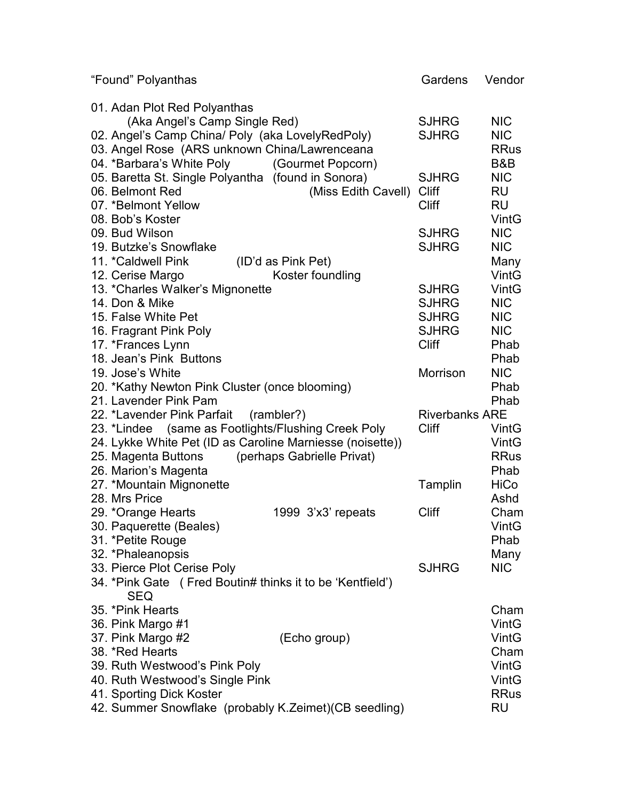| "Found" Polyanthas                                        | Gardens               | Vendor       |
|-----------------------------------------------------------|-----------------------|--------------|
| 01. Adan Plot Red Polyanthas                              |                       |              |
| (Aka Angel's Camp Single Red)                             | <b>SJHRG</b>          | <b>NIC</b>   |
| 02. Angel's Camp China/ Poly (aka LovelyRedPoly)          | <b>SJHRG</b>          | <b>NIC</b>   |
| 03. Angel Rose (ARS unknown China/Lawrenceana             |                       | <b>RRus</b>  |
| 04. *Barbara's White Poly<br>(Gourmet Popcorn)            |                       | B&B          |
| 05. Baretta St. Single Polyantha (found in Sonora)        | <b>SJHRG</b>          | <b>NIC</b>   |
| 06. Belmont Red<br>(Miss Edith Cavell)                    | <b>Cliff</b>          | RU           |
| 07. *Belmont Yellow                                       | <b>Cliff</b>          | <b>RU</b>    |
| 08. Bob's Koster                                          |                       | VintG        |
| 09. Bud Wilson                                            | <b>SJHRG</b>          | <b>NIC</b>   |
| 19. Butzke's Snowflake                                    | <b>SJHRG</b>          | <b>NIC</b>   |
| 11. *Caldwell Pink<br>(ID'd as Pink Pet)                  |                       | Many         |
| 12. Cerise Margo<br>Koster foundling                      |                       | <b>VintG</b> |
| 13. *Charles Walker's Mignonette                          | <b>SJHRG</b>          | VintG        |
| 14. Don & Mike                                            | <b>SJHRG</b>          | <b>NIC</b>   |
| 15. False White Pet                                       | <b>SJHRG</b>          | <b>NIC</b>   |
| 16. Fragrant Pink Poly                                    | <b>SJHRG</b>          | <b>NIC</b>   |
| 17. *Frances Lynn                                         | <b>Cliff</b>          | Phab         |
| 18. Jean's Pink Buttons                                   |                       | Phab         |
| 19. Jose's White                                          | Morrison              | <b>NIC</b>   |
| 20. *Kathy Newton Pink Cluster (once blooming)            |                       | Phab         |
| 21. Lavender Pink Pam                                     |                       | Phab         |
| 22. *Lavender Pink Parfait<br>(rambler?)                  | <b>Riverbanks ARE</b> |              |
| 23. *Lindee (same as Footlights/Flushing Creek Poly       | <b>Cliff</b>          | VintG        |
| 24. Lykke White Pet (ID as Caroline Marniesse (noisette)) |                       | VintG        |
| (perhaps Gabrielle Privat)<br>25. Magenta Buttons         |                       | <b>RRus</b>  |
| 26. Marion's Magenta                                      |                       | Phab         |
| 27. *Mountain Mignonette                                  | Tamplin               | <b>HiCo</b>  |
| 28. Mrs Price                                             |                       | Ashd         |
| 29. *Orange Hearts<br>1999 3'x3' repeats                  | <b>Cliff</b>          | Cham         |
| 30. Paquerette (Beales)                                   |                       | <b>VintG</b> |
| 31. *Petite Rouge                                         |                       | Phab         |
| 32. *Phaleanopsis                                         |                       | Many         |
| 33. Pierce Plot Cerise Poly                               | <b>SJHRG</b>          | <b>NIC</b>   |
| 34. *Pink Gate (Fred Boutin# thinks it to be 'Kentfield') |                       |              |
| <b>SEQ</b>                                                |                       |              |
| 35. *Pink Hearts                                          |                       | Cham         |
| 36. Pink Margo #1                                         |                       | <b>VintG</b> |
| 37. Pink Margo #2<br>(Echo group)                         |                       | VintG        |
| 38. *Red Hearts                                           |                       | Cham         |
| 39. Ruth Westwood's Pink Poly                             |                       | VintG        |
| 40. Ruth Westwood's Single Pink                           |                       | VintG        |
| 41. Sporting Dick Koster                                  |                       | <b>RRus</b>  |
| 42. Summer Snowflake (probably K.Zeimet)(CB seedling)     |                       | RU           |